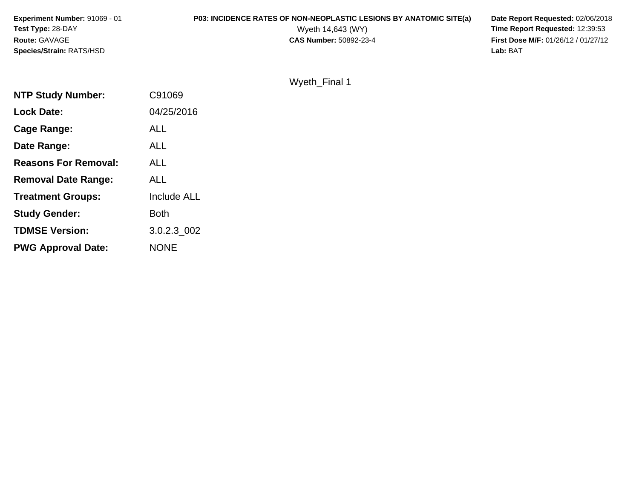| <b>Experiment Number: 91069 - 01</b> | P03: INCIDENCE RATES OF NON-NEOPLASTIC LESIONS BY ANATOMIC SITE(a) | Date Report Requested: 02/06/2018          |
|--------------------------------------|--------------------------------------------------------------------|--------------------------------------------|
| <b>Test Type: 28-DAY</b>             | Wyeth 14,643 (WY)                                                  | <b>Time Report Requested: 12:39:53</b>     |
| <b>Route: GAVAGE</b>                 | <b>CAS Number: 50892-23-4</b>                                      | <b>First Dose M/F: 01/26/12 / 01/27/12</b> |
| <b>Species/Strain: RATS/HSD</b>      |                                                                    | Lab: BAT                                   |

|  | Wyeth_Final 1 |  |
|--|---------------|--|
|  |               |  |

| <b>NTP Study Number:</b>    | C91069      |
|-----------------------------|-------------|
| <b>Lock Date:</b>           | 04/25/2016  |
| Cage Range:                 | <b>ALL</b>  |
| Date Range:                 | <b>ALL</b>  |
| <b>Reasons For Removal:</b> | ALL.        |
| <b>Removal Date Range:</b>  | ALL         |
| <b>Treatment Groups:</b>    | Include ALL |
| <b>Study Gender:</b>        | Both        |
| <b>TDMSE Version:</b>       | 3.0.2.3_002 |
| <b>PWG Approval Date:</b>   | <b>NONE</b> |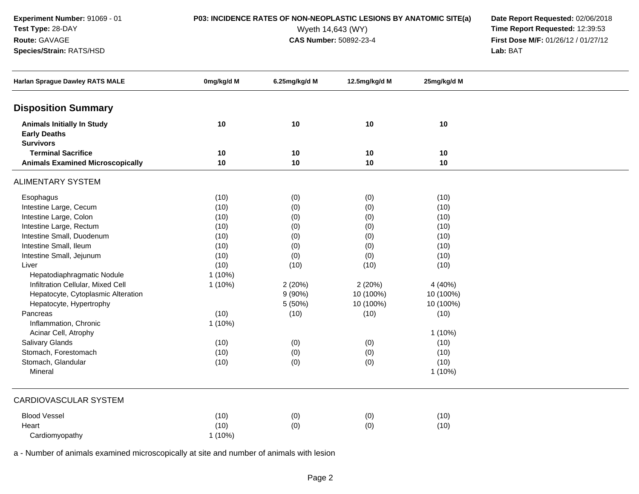**Experiment Number:** 91069 - 01

**Test Type:** 28-DAY

### **Route:** GAVAGE

**Species/Strain:** RATS/HSD

**P03: INCIDENCE RATES OF NON-NEOPLASTIC LESIONS BY ANATOMIC SITE(a) Date Report Requested: 02/06/2018<br>Wyeth 14,643 (WY) <b>Time Report Requested: 12:39:53** Wyeth 14,643 (WY) **Time Report Requested:** 12:39:53<br>**CAS Number:** 50892-23-4 **Time Report Requested:** 12:39:53 **First Dose M/F:** 01/26/12 / 01/27/12<br>**Lab:** BAT **Lab:** BAT

| <b>Harlan Sprague Dawley RATS MALE</b>                   | 0mg/kg/d M | 6.25mg/kg/d M | 12.5mg/kg/d M | 25mg/kg/d M |  |
|----------------------------------------------------------|------------|---------------|---------------|-------------|--|
| <b>Disposition Summary</b>                               |            |               |               |             |  |
| <b>Animals Initially In Study</b><br><b>Early Deaths</b> | 10         | 10            | 10            | 10          |  |
| <b>Survivors</b>                                         |            |               |               |             |  |
| <b>Terminal Sacrifice</b>                                | 10         | 10            | 10            | 10          |  |
| <b>Animals Examined Microscopically</b>                  | 10         | 10            | 10            | 10          |  |
| <b>ALIMENTARY SYSTEM</b>                                 |            |               |               |             |  |
| Esophagus                                                | (10)       | (0)           | (0)           | (10)        |  |
| Intestine Large, Cecum                                   | (10)       | (0)           | (0)           | (10)        |  |
| Intestine Large, Colon                                   | (10)       | (0)           | (0)           | (10)        |  |
| Intestine Large, Rectum                                  | (10)       | (0)           | (0)           | (10)        |  |
| Intestine Small, Duodenum                                | (10)       | (0)           | (0)           | (10)        |  |
| Intestine Small, Ileum                                   | (10)       | (0)           | (0)           | (10)        |  |
| Intestine Small, Jejunum                                 | (10)       | (0)           | (0)           | (10)        |  |
| Liver                                                    | (10)       | (10)          | (10)          | (10)        |  |
| Hepatodiaphragmatic Nodule                               | $1(10\%)$  |               |               |             |  |
| Infiltration Cellular, Mixed Cell                        | $1(10\%)$  | 2(20%)        | 2(20%)        | 4 (40%)     |  |
| Hepatocyte, Cytoplasmic Alteration                       |            | $9(90\%)$     | 10 (100%)     | 10 (100%)   |  |
| Hepatocyte, Hypertrophy                                  |            | 5 (50%)       | 10 (100%)     | 10 (100%)   |  |
| Pancreas                                                 | (10)       | (10)          | (10)          | (10)        |  |
| Inflammation, Chronic                                    | $1(10\%)$  |               |               |             |  |
| Acinar Cell, Atrophy                                     |            |               |               | $1(10\%)$   |  |
| <b>Salivary Glands</b>                                   | (10)       | (0)           | (0)           | (10)        |  |
| Stomach, Forestomach                                     | (10)       | (0)           | (0)           | (10)        |  |
| Stomach, Glandular                                       | (10)       | (0)           | (0)           | (10)        |  |
| Mineral                                                  |            |               |               | $1(10\%)$   |  |
| <b>CARDIOVASCULAR SYSTEM</b>                             |            |               |               |             |  |
| <b>Blood Vessel</b>                                      | (10)       | (0)           | (0)           | (10)        |  |
| Heart                                                    | (10)       | (0)           | (0)           | (10)        |  |
| Cardiomyopathy                                           | $1(10\%)$  |               |               |             |  |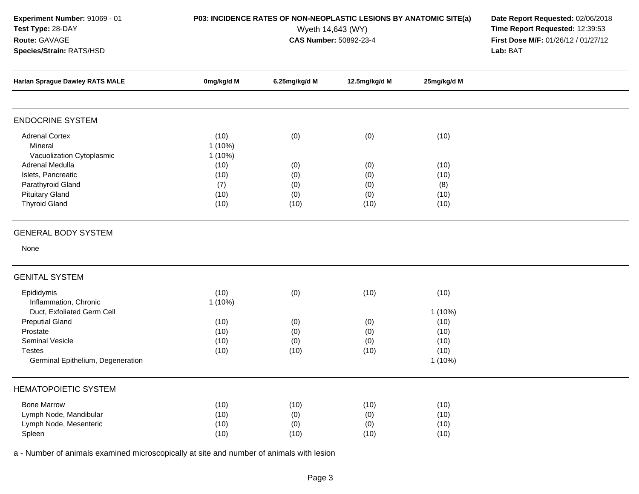| Experiment Number: 91069 - 01 |  |  |  |  |
|-------------------------------|--|--|--|--|
| <b>Test Type: 28-DAY</b>      |  |  |  |  |

**Species/Strain:** RATS/HSD

**Route:** GAVAGE

**P03: INCIDENCE RATES OF NON-NEOPLASTIC LESIONS BY ANATOMIC SITE(a) Date Report Requested: 02/06/2018<br>Wyeth 14,643 (WY) <b>Time Report Requested: 12:39:53** Wyeth 14,643 (WY) **Time Report Requested:** 12:39:53<br>**CAS Number:** 50892-23-4 **Time Report Requested:** 12:39:53 **First Dose M/F:** 01/26/12 / 01/27/12<br>**Lab:** BAT **Lab:** BAT

| <b>Harlan Sprague Dawley RATS MALE</b>                                                                                                                                           | 0mg/kg/d M                                      | 6.25mg/kg/d M                    | 12.5mg/kg/d M                     | 25mg/kg/d M                                                    |  |
|----------------------------------------------------------------------------------------------------------------------------------------------------------------------------------|-------------------------------------------------|----------------------------------|-----------------------------------|----------------------------------------------------------------|--|
|                                                                                                                                                                                  |                                                 |                                  |                                   |                                                                |  |
| <b>ENDOCRINE SYSTEM</b>                                                                                                                                                          |                                                 |                                  |                                   |                                                                |  |
| <b>Adrenal Cortex</b><br>Mineral<br>Vacuolization Cytoplasmic                                                                                                                    | (10)<br>$1(10\%)$<br>$1(10\%)$                  | (0)                              | (0)                               | (10)                                                           |  |
| Adrenal Medulla<br>Islets, Pancreatic<br>Parathyroid Gland<br><b>Pituitary Gland</b><br><b>Thyroid Gland</b>                                                                     | (10)<br>(10)<br>(7)<br>(10)<br>(10)             | (0)<br>(0)<br>(0)<br>(0)<br>(10) | (0)<br>(0)<br>(0)<br>(0)<br>(10)  | (10)<br>(10)<br>(8)<br>(10)<br>(10)                            |  |
| <b>GENERAL BODY SYSTEM</b>                                                                                                                                                       |                                                 |                                  |                                   |                                                                |  |
| None                                                                                                                                                                             |                                                 |                                  |                                   |                                                                |  |
| <b>GENITAL SYSTEM</b>                                                                                                                                                            |                                                 |                                  |                                   |                                                                |  |
| Epididymis<br>Inflammation, Chronic<br>Duct, Exfoliated Germ Cell<br><b>Preputial Gland</b><br>Prostate<br>Seminal Vesicle<br><b>Testes</b><br>Germinal Epithelium, Degeneration | (10)<br>1 (10%)<br>(10)<br>(10)<br>(10)<br>(10) | (0)<br>(0)<br>(0)<br>(0)<br>(10) | (10)<br>(0)<br>(0)<br>(0)<br>(10) | (10)<br>$1(10\%)$<br>(10)<br>(10)<br>(10)<br>(10)<br>$1(10\%)$ |  |
| <b>HEMATOPOIETIC SYSTEM</b>                                                                                                                                                      |                                                 |                                  |                                   |                                                                |  |
| <b>Bone Marrow</b><br>Lymph Node, Mandibular<br>Lymph Node, Mesenteric<br>Spleen                                                                                                 | (10)<br>(10)<br>(10)<br>(10)                    | (10)<br>(0)<br>(0)<br>(10)       | (10)<br>(0)<br>(0)<br>(10)        | (10)<br>(10)<br>(10)<br>(10)                                   |  |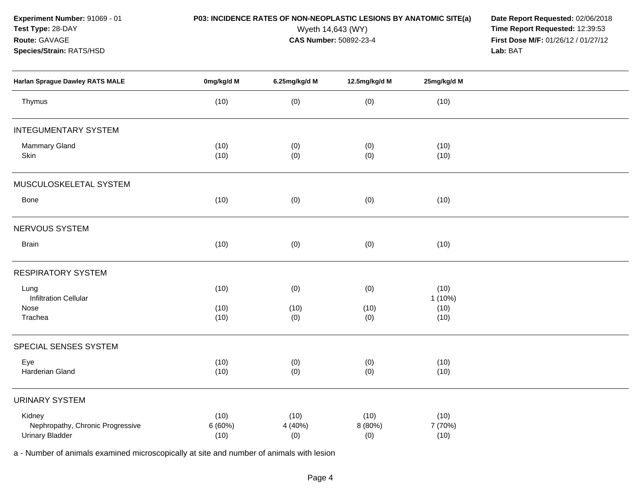**Experiment Number:** 91069 - 01

**Species/Strain:** RATS/HSD

**Test Type:** 28-DAY

**Route:** GAVAGE

**P03: INCIDENCE RATES OF NON-NEOPLASTIC LESIONS BY ANATOMIC SITE(a) Date Report Requested: 02/06/2018<br>Wyeth 14,643 (WY) <b>Time Report Requested: 12:39:53** Wyeth 14,643 (WY) **Time Report Requested:** 12:39:53<br>**CAS Number:** 50892-23-4 **Time Report Requested:** 12:39:53 **First Dose M/F:** 01/26/12 / 01/27/12<br>**Lab:** BAT **Lab:** BAT

| <b>Harlan Sprague Dawley RATS MALE</b>                               | 0mg/kg/d M              | 6.25mg/kg/d M          | 12.5mg/kg/d M          | 25mg/kg/d M             |  |
|----------------------------------------------------------------------|-------------------------|------------------------|------------------------|-------------------------|--|
| Thymus                                                               | (10)                    | (0)                    | (0)                    | (10)                    |  |
| <b>INTEGUMENTARY SYSTEM</b>                                          |                         |                        |                        |                         |  |
| Mammary Gland<br>Skin                                                | (10)<br>(10)            | (0)<br>(0)             | (0)<br>(0)             | (10)<br>(10)            |  |
| MUSCULOSKELETAL SYSTEM                                               |                         |                        |                        |                         |  |
| Bone                                                                 | (10)                    | (0)                    | (0)                    | (10)                    |  |
| NERVOUS SYSTEM                                                       |                         |                        |                        |                         |  |
| <b>Brain</b>                                                         | (10)                    | (0)                    | (0)                    | (10)                    |  |
| <b>RESPIRATORY SYSTEM</b>                                            |                         |                        |                        |                         |  |
| Lung<br><b>Infiltration Cellular</b>                                 | (10)                    | (0)                    | (0)                    | (10)<br>1(10%)          |  |
| Nose<br>Trachea                                                      | (10)<br>(10)            | (10)<br>(0)            | (10)<br>(0)            | (10)<br>(10)            |  |
| SPECIAL SENSES SYSTEM                                                |                         |                        |                        |                         |  |
| Eye<br>Harderian Gland                                               | (10)<br>(10)            | (0)<br>(0)             | (0)<br>(0)             | (10)<br>(10)            |  |
| <b>URINARY SYSTEM</b>                                                |                         |                        |                        |                         |  |
| Kidney<br>Nephropathy, Chronic Progressive<br><b>Urinary Bladder</b> | (10)<br>6 (60%)<br>(10) | (10)<br>4 (40%)<br>(0) | (10)<br>8 (80%)<br>(0) | (10)<br>7 (70%)<br>(10) |  |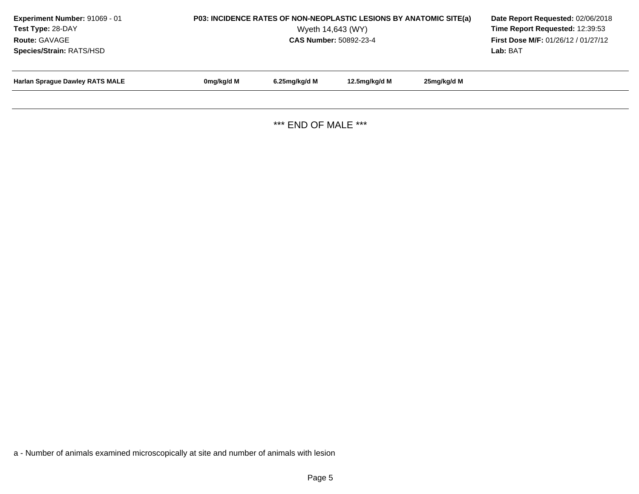| Experiment Number: 91069 - 01<br>Test Type: 28-DAY<br>Route: GAVAGE<br>Species/Strain: RATS/HSD | P03: INCIDENCE RATES OF NON-NEOPLASTIC LESIONS BY ANATOMIC SITE(a) | Date Report Requested: 02/06/2018<br>Time Report Requested: 12:39:53<br>First Dose M/F: 01/26/12 / 01/27/12<br>Lab: BAT |               |             |  |
|-------------------------------------------------------------------------------------------------|--------------------------------------------------------------------|-------------------------------------------------------------------------------------------------------------------------|---------------|-------------|--|
| <b>Harlan Sprague Dawley RATS MALE</b>                                                          | 0mg/kg/d M                                                         | 6.25mg/kg/d M                                                                                                           | 12.5mg/kg/d M | 25mg/kg/d M |  |
|                                                                                                 |                                                                    |                                                                                                                         |               |             |  |

\*\*\* END OF MALE \*\*\*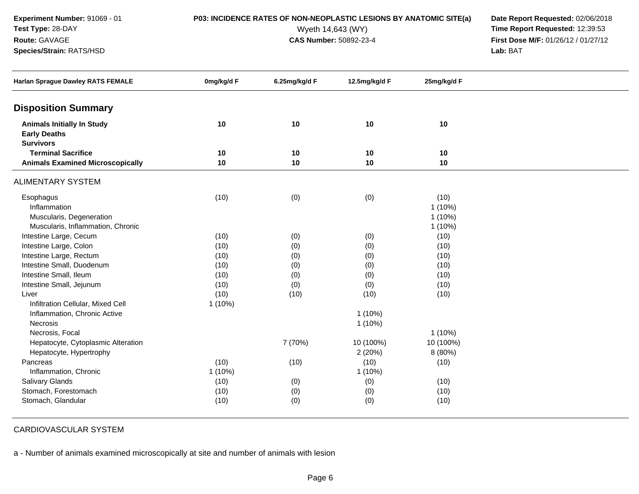**Experiment Number:** 91069 - 01**Test Type:** 28-DAY

### **Route:** GAVAGE

**Species/Strain:** RATS/HSD

**P03: INCIDENCE RATES OF NON-NEOPLASTIC LESIONS BY ANATOMIC SITE(a) Date Report Requested: 02/06/2018<br>Wyeth 14,643 (WY) <b>Time Report Requested: 12:39:53** Wyeth 14,643 (WY) **Time Report Requested:** 12:39:53<br>**CAS Number:** 50892-23-4 **Time Report Requested:** 12:39:53 **First Dose M/F:** 01/26/12 / 01/27/12<br>**Lab:** BAT **Lab:** BAT

| <b>Harlan Sprague Dawley RATS FEMALE</b>                 | 0mg/kg/d F | 6.25mg/kg/d F | 12.5mg/kg/d F | 25mg/kg/d F |  |
|----------------------------------------------------------|------------|---------------|---------------|-------------|--|
| <b>Disposition Summary</b>                               |            |               |               |             |  |
| <b>Animals Initially In Study</b><br><b>Early Deaths</b> | 10         | 10            | 10            | 10          |  |
| <b>Survivors</b>                                         |            |               |               |             |  |
| <b>Terminal Sacrifice</b>                                | 10         | 10            | 10            | 10          |  |
| <b>Animals Examined Microscopically</b>                  | 10         | $10$          | 10            | 10          |  |
| <b>ALIMENTARY SYSTEM</b>                                 |            |               |               |             |  |
| Esophagus                                                | (10)       | (0)           | (0)           | (10)        |  |
| Inflammation                                             |            |               |               | $1(10\%)$   |  |
| Muscularis, Degeneration                                 |            |               |               | $1(10\%)$   |  |
| Muscularis, Inflammation, Chronic                        |            |               |               | $1(10\%)$   |  |
| Intestine Large, Cecum                                   | (10)       | (0)           | (0)           | (10)        |  |
| Intestine Large, Colon                                   | (10)       | (0)           | (0)           | (10)        |  |
| Intestine Large, Rectum                                  | (10)       | (0)           | (0)           | (10)        |  |
| Intestine Small, Duodenum                                | (10)       | (0)           | (0)           | (10)        |  |
| Intestine Small, Ileum                                   | (10)       | (0)           | (0)           | (10)        |  |
| Intestine Small, Jejunum                                 | (10)       | (0)           | (0)           | (10)        |  |
| Liver                                                    | (10)       | (10)          | (10)          | (10)        |  |
| Infiltration Cellular, Mixed Cell                        | $1(10\%)$  |               |               |             |  |
| Inflammation, Chronic Active                             |            |               | $1(10\%)$     |             |  |
| Necrosis                                                 |            |               | $1(10\%)$     |             |  |
| Necrosis, Focal                                          |            |               |               | $1(10\%)$   |  |
| Hepatocyte, Cytoplasmic Alteration                       |            | 7 (70%)       | 10 (100%)     | 10 (100%)   |  |
| Hepatocyte, Hypertrophy                                  |            |               | 2(20%)        | 8 (80%)     |  |
| Pancreas                                                 | (10)       | (10)          | (10)          | (10)        |  |
| Inflammation, Chronic                                    | $1(10\%)$  |               | $1(10\%)$     |             |  |
| Salivary Glands                                          | (10)       | (0)           | (0)           | (10)        |  |
| Stomach, Forestomach                                     | (10)       | (0)           | (0)           | (10)        |  |
| Stomach, Glandular                                       | (10)       | (0)           | (0)           | (10)        |  |

CARDIOVASCULAR SYSTEM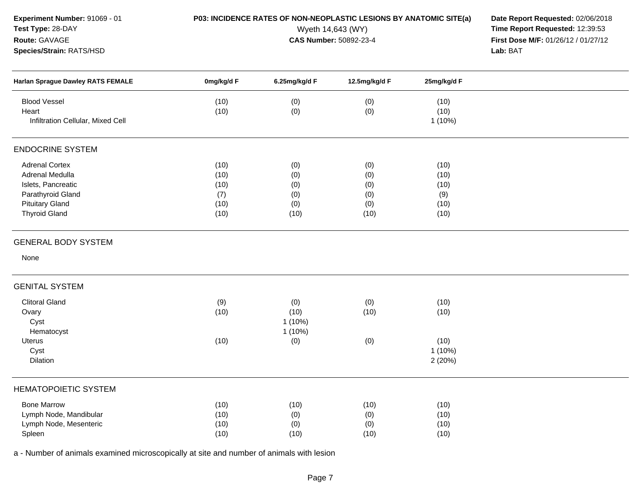| Experiment Number: 91069 - 01<br>Test Type: 28-DAY<br>Route: GAVAGE<br>Species/Strain: RATS/HSD                                       |                                             | P03: INCIDENCE RATES OF NON-NEOPLASTIC LESIONS BY ANATOMIC SITE(a)<br>Wyeth 14,643 (WY)<br>CAS Number: 50892-23-4 | Date Report Requested: 02/06/2018<br>Time Report Requested: 12:39:53<br>First Dose M/F: 01/26/12 / 01/27/12<br>Lab: BAT |                                             |  |
|---------------------------------------------------------------------------------------------------------------------------------------|---------------------------------------------|-------------------------------------------------------------------------------------------------------------------|-------------------------------------------------------------------------------------------------------------------------|---------------------------------------------|--|
| Harlan Sprague Dawley RATS FEMALE                                                                                                     | 0mg/kg/d F                                  | 6.25mg/kg/d F                                                                                                     | 12.5mg/kg/d F                                                                                                           | 25mg/kg/d F                                 |  |
| <b>Blood Vessel</b><br>Heart<br>Infiltration Cellular, Mixed Cell                                                                     | (10)<br>(10)                                | (0)<br>(0)                                                                                                        | (0)<br>(0)                                                                                                              | (10)<br>(10)<br>$1(10\%)$                   |  |
| <b>ENDOCRINE SYSTEM</b>                                                                                                               |                                             |                                                                                                                   |                                                                                                                         |                                             |  |
| <b>Adrenal Cortex</b><br>Adrenal Medulla<br>Islets, Pancreatic<br>Parathyroid Gland<br><b>Pituitary Gland</b><br><b>Thyroid Gland</b> | (10)<br>(10)<br>(10)<br>(7)<br>(10)<br>(10) | (0)<br>(0)<br>(0)<br>(0)<br>(0)<br>(10)                                                                           | (0)<br>(0)<br>(0)<br>(0)<br>(0)<br>(10)                                                                                 | (10)<br>(10)<br>(10)<br>(9)<br>(10)<br>(10) |  |
| <b>GENERAL BODY SYSTEM</b><br>None                                                                                                    |                                             |                                                                                                                   |                                                                                                                         |                                             |  |
| <b>GENITAL SYSTEM</b>                                                                                                                 |                                             |                                                                                                                   |                                                                                                                         |                                             |  |
| <b>Clitoral Gland</b><br>Ovary<br>Cyst<br>Hematocyst<br>Uterus<br>Cyst<br>Dilation                                                    | (9)<br>(10)<br>(10)                         | (0)<br>(10)<br>$1(10\%)$<br>$1(10\%)$<br>(0)                                                                      | (0)<br>(10)<br>(0)                                                                                                      | (10)<br>(10)<br>(10)<br>$1(10\%)$<br>2(20%) |  |
| <b>HEMATOPOIETIC SYSTEM</b>                                                                                                           |                                             |                                                                                                                   |                                                                                                                         |                                             |  |
| <b>Bone Marrow</b><br>Lymph Node, Mandibular<br>Lymph Node, Mesenteric<br>Spleen                                                      | (10)<br>(10)<br>(10)<br>(10)                | (10)<br>(0)<br>(0)<br>(10)                                                                                        | (10)<br>(0)<br>(0)<br>(10)                                                                                              | (10)<br>(10)<br>(10)<br>(10)                |  |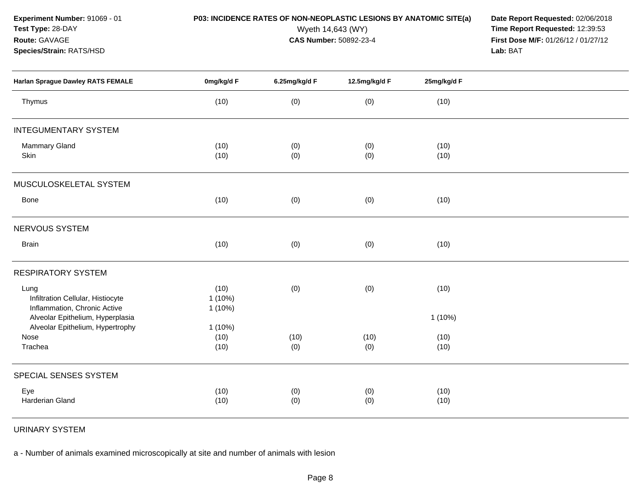**Experiment Number:** 91069 - 01

# **Test Type:** 28-DAY

### **Route:** GAVAGE

**Species/Strain:** RATS/HSD

**P03: INCIDENCE RATES OF NON-NEOPLASTIC LESIONS BY ANATOMIC SITE(a) Date Report Requested: 02/06/2018<br>Wyeth 14,643 (WY) <b>Time Report Requested: 12:39:53** Wyeth 14,643 (WY) **Time Report Requested:** 12:39:53<br>**CAS Number:** 50892-23-4 **Time Report Requested:** 12:39:53 **First Dose M/F:** 01/26/12 / 01/27/12<br>**Lab:** BAT **Lab:** BAT

| Harlan Sprague Dawley RATS FEMALE                                         | 0mg/kg/d F                     | 6.25mg/kg/d F | 12.5mg/kg/d F | 25mg/kg/d F  |  |
|---------------------------------------------------------------------------|--------------------------------|---------------|---------------|--------------|--|
| Thymus                                                                    | (10)                           | (0)           | (0)           | (10)         |  |
| <b>INTEGUMENTARY SYSTEM</b>                                               |                                |               |               |              |  |
| Mammary Gland<br>Skin                                                     | (10)<br>(10)                   | (0)<br>(0)    | (0)<br>(0)    | (10)<br>(10) |  |
| MUSCULOSKELETAL SYSTEM                                                    |                                |               |               |              |  |
| Bone                                                                      | (10)                           | (0)           | (0)           | (10)         |  |
| NERVOUS SYSTEM                                                            |                                |               |               |              |  |
| <b>Brain</b>                                                              | (10)                           | (0)           | (0)           | (10)         |  |
| <b>RESPIRATORY SYSTEM</b>                                                 |                                |               |               |              |  |
| Lung<br>Infiltration Cellular, Histiocyte<br>Inflammation, Chronic Active | (10)<br>$1(10\%)$<br>$1(10\%)$ | (0)           | (0)           | (10)         |  |
| Alveolar Epithelium, Hyperplasia<br>Alveolar Epithelium, Hypertrophy      | $1(10\%)$                      |               |               | $1(10\%)$    |  |
| Nose<br>Trachea                                                           | (10)<br>(10)                   | (10)<br>(0)   | (10)<br>(0)   | (10)<br>(10) |  |
| SPECIAL SENSES SYSTEM                                                     |                                |               |               |              |  |
| Eye<br>Harderian Gland                                                    | (10)<br>(10)                   | (0)<br>(0)    | (0)<br>(0)    | (10)<br>(10) |  |

## URINARY SYSTEM